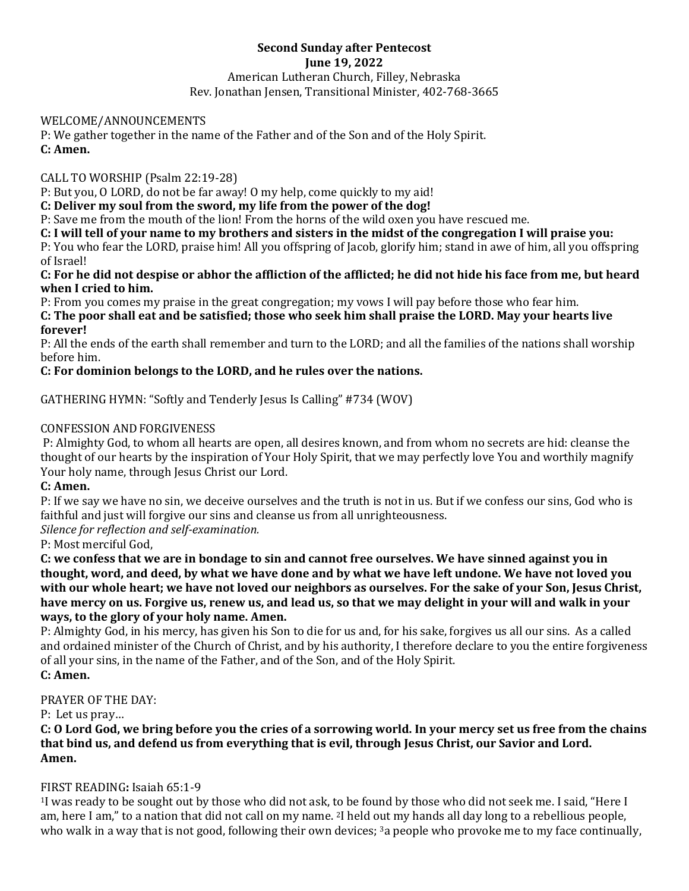## **Second Sunday after Pentecost June 19, 2022** American Lutheran Church, Filley, Nebraska Rev. Jonathan Jensen, Transitional Minister, 402-768-3665

#### WELCOME/ANNOUNCEMENTS

P: We gather together in the name of the Father and of the Son and of the Holy Spirit. **C: Amen.**

CALL TO WORSHIP (Psalm 22:19-28)

P: But you, O LORD, do not be far away! O my help, come quickly to my aid!

#### **C: Deliver my soul from the sword, my life from the power of the dog!**

P: Save me from the mouth of the lion! From the horns of the wild oxen you have rescued me.

**C: I will tell of your name to my brothers and sisters in the midst of the congregation I will praise you:**

P: You who fear the LORD, praise him! All you offspring of Jacob, glorify him; stand in awe of him, all you offspring of Israel!

**C: For he did not despise or abhor the affliction of the afflicted; he did not hide his face from me, but heard when I cried to him.**

P: From you comes my praise in the great congregation; my vows I will pay before those who fear him. **C: The poor shall eat and be satisfied; those who seek him shall praise the LORD. May your hearts live** 

**forever!**

P: All the ends of the earth shall remember and turn to the LORD; and all the families of the nations shall worship before him.

# **C: For dominion belongs to the LORD, and he rules over the nations.**

GATHERING HYMN: "Softly and Tenderly Jesus Is Calling" #734 (WOV)

## CONFESSION AND FORGIVENESS

P: Almighty God, to whom all hearts are open, all desires known, and from whom no secrets are hid: cleanse the thought of our hearts by the inspiration of Your Holy Spirit, that we may perfectly love You and worthily magnify Your holy name, through Jesus Christ our Lord.

## **C: Amen.**

P: If we say we have no sin, we deceive ourselves and the truth is not in us. But if we confess our sins, God who is faithful and just will forgive our sins and cleanse us from all unrighteousness.

*Silence for reflection and self-examination.*

P: Most merciful God,

**C: we confess that we are in bondage to sin and cannot free ourselves. We have sinned against you in thought, word, and deed, by what we have done and by what we have left undone. We have not loved you with our whole heart; we have not loved our neighbors as ourselves. For the sake of your Son, Jesus Christ, have mercy on us. Forgive us, renew us, and lead us, so that we may delight in your will and walk in your ways, to the glory of your holy name. Amen.** 

P: Almighty God, in his mercy, has given his Son to die for us and, for his sake, forgives us all our sins. As a called and ordained minister of the Church of Christ, and by his authority, I therefore declare to you the entire forgiveness of all your sins, in the name of the Father, and of the Son, and of the Holy Spirit. **C: Amen.**

#### PRAYER OF THE DAY:

P: Let us pray…

**C: O Lord God, we bring before you the cries of a sorrowing world. In your mercy set us free from the chains that bind us, and defend us from everything that is evil, through Jesus Christ, our Savior and Lord. Amen.**

## FIRST READING**:** Isaiah 65:1-9

<sup>1</sup>I was ready to be sought out by those who did not ask, to be found by those who did not seek me. I said, "Here I am, here I am," to a nation that did not call on my name. <sup>2</sup>I held out my hands all day long to a rebellious people, who walk in a way that is not good, following their own devices; <sup>3</sup>a people who provoke me to my face continually,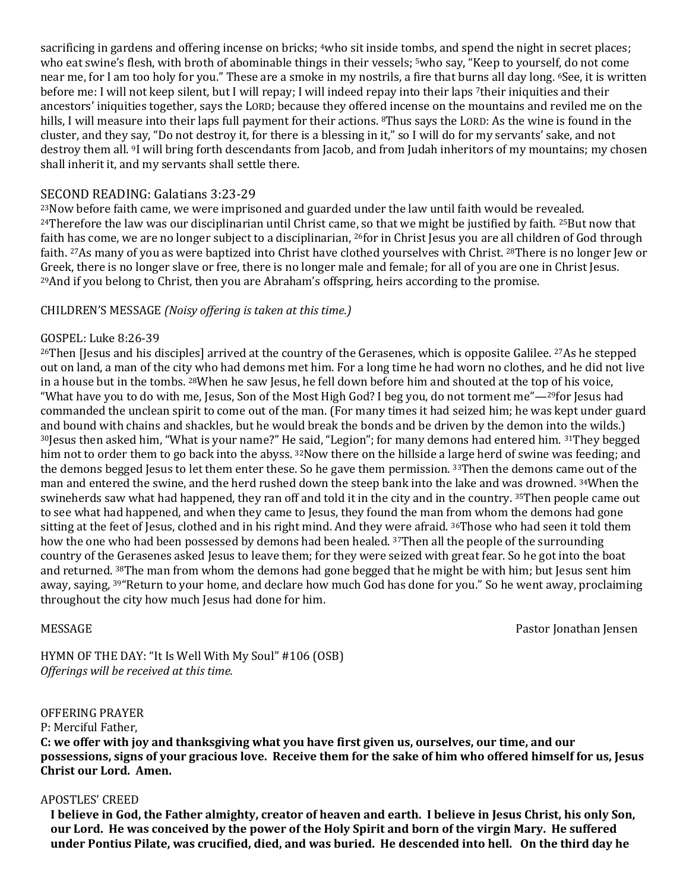sacrificing in gardens and offering incense on bricks; 4who sit inside tombs, and spend the night in secret places; who eat swine's flesh, with broth of abominable things in their vessels; <sup>5</sup>who say, "Keep to yourself, do not come near me, for I am too holy for you." These are a smoke in my nostrils, a fire that burns all day long. <sup>6</sup>See, it is written before me: I will not keep silent, but I will repay; I will indeed repay into their laps <sup>7</sup>their iniquities and their ancestors' iniquities together, says the LORD; because they offered incense on the mountains and reviled me on the hills, I will measure into their laps full payment for their actions. <sup>8</sup>Thus says the LORD: As the wine is found in the cluster, and they say, "Do not destroy it, for there is a blessing in it," so I will do for my servants' sake, and not destroy them all. <sup>9</sup>I will bring forth descendants from Jacob, and from Judah inheritors of my mountains; my chosen shall inherit it, and my servants shall settle there.

## SECOND READING: Galatians 3:23-29

<sup>23</sup>Now before faith came, we were imprisoned and guarded under the law until faith would be revealed.  $24$ Therefore the law was our disciplinarian until Christ came, so that we might be justified by faith.  $25$ But now that faith has come, we are no longer subject to a disciplinarian, <sup>26</sup>for in Christ Jesus you are all children of God through faith. <sup>27</sup>As many of you as were baptized into Christ have clothed yourselves with Christ. <sup>28</sup>There is no longer Jew or Greek, there is no longer slave or free, there is no longer male and female; for all of you are one in Christ Jesus. <sup>29</sup>And if you belong to Christ, then you are Abraham's offspring, heirs according to the promise.

# CHILDREN'S MESSAGE *(Noisy offering is taken at this time.)*

#### GOSPEL: Luke 8:26-39

<sup>26</sup>Then [Jesus and his disciples] arrived at the country of the Gerasenes, which is opposite Galilee. <sup>27</sup>As he stepped out on land, a man of the city who had demons met him. For a long time he had worn no clothes, and he did not live in a house but in the tombs. <sup>28</sup>When he saw Jesus, he fell down before him and shouted at the top of his voice, "What have you to do with me, Jesus, Son of the Most High God? I beg you, do not torment me"—29for Jesus had commanded the unclean spirit to come out of the man. (For many times it had seized him; he was kept under guard and bound with chains and shackles, but he would break the bonds and be driven by the demon into the wilds.) <sup>30</sup>Jesus then asked him, "What is your name?" He said, "Legion"; for many demons had entered him. <sup>31</sup>They begged him not to order them to go back into the abyss. <sup>32</sup>Now there on the hillside a large herd of swine was feeding; and the demons begged Jesus to let them enter these. So he gave them permission. <sup>33</sup>Then the demons came out of the man and entered the swine, and the herd rushed down the steep bank into the lake and was drowned. <sup>34</sup>When the swineherds saw what had happened, they ran off and told it in the city and in the country. 35Then people came out to see what had happened, and when they came to Jesus, they found the man from whom the demons had gone sitting at the feet of Jesus, clothed and in his right mind. And they were afraid. <sup>36</sup>Those who had seen it told them how the one who had been possessed by demons had been healed. 37Then all the people of the surrounding country of the Gerasenes asked Jesus to leave them; for they were seized with great fear. So he got into the boat and returned. <sup>38</sup>The man from whom the demons had gone begged that he might be with him; but Jesus sent him away, saying, <sup>39</sup>"Return to your home, and declare how much God has done for you." So he went away, proclaiming throughout the city how much Jesus had done for him.

MESSAGE Pastor Jonathan Jensen

HYMN OF THE DAY: "It Is Well With My Soul" #106 (OSB) *Offerings will be received at this time.*

#### OFFERING PRAYER

P: Merciful Father,

**C: we offer with joy and thanksgiving what you have first given us, ourselves, our time, and our possessions, signs of your gracious love. Receive them for the sake of him who offered himself for us, Jesus Christ our Lord. Amen.**

#### APOSTLES' CREED

**I believe in God, the Father almighty, creator of heaven and earth. I believe in Jesus Christ, his only Son, our Lord. He was conceived by the power of the Holy Spirit and born of the virgin Mary. He suffered under Pontius Pilate, was crucified, died, and was buried. He descended into hell. On the third day he**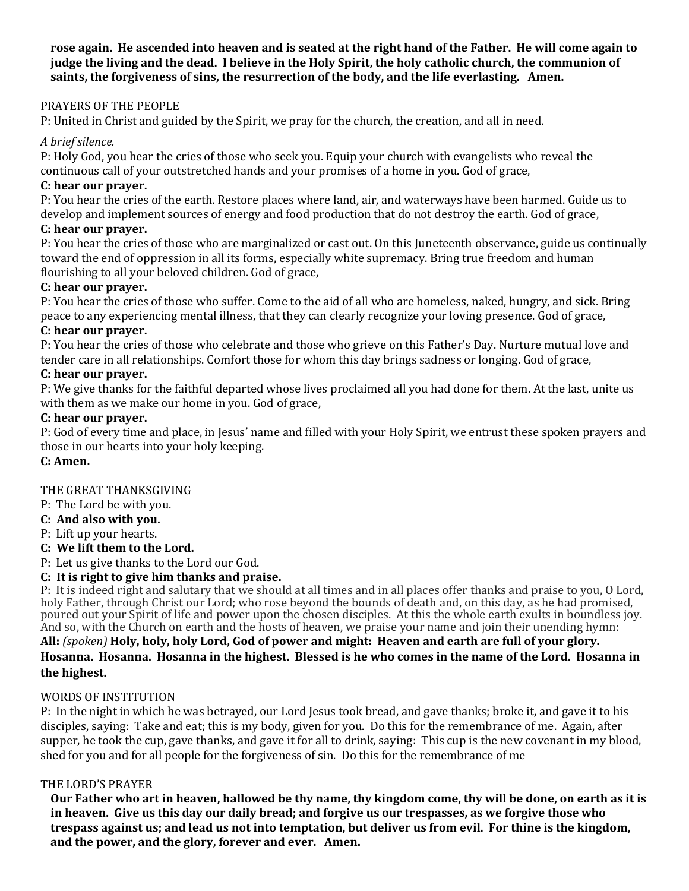**rose again. He ascended into heaven and is seated at the right hand of the Father. He will come again to judge the living and the dead. I believe in the Holy Spirit, the holy catholic church, the communion of saints, the forgiveness of sins, the resurrection of the body, and the life everlasting. Amen.**

# PRAYERS OF THE PEOPLE

P: United in Christ and guided by the Spirit, we pray for the church, the creation, and all in need.

# *A brief silence.*

P: Holy God, you hear the cries of those who seek you. Equip your church with evangelists who reveal the continuous call of your outstretched hands and your promises of a home in you. God of grace,

## **C: hear our prayer.**

P: You hear the cries of the earth. Restore places where land, air, and waterways have been harmed. Guide us to develop and implement sources of energy and food production that do not destroy the earth. God of grace,

# **C: hear our prayer.**

P: You hear the cries of those who are marginalized or cast out. On this Juneteenth observance, guide us continually toward the end of oppression in all its forms, especially white supremacy. Bring true freedom and human flourishing to all your beloved children. God of grace,

# **C: hear our prayer.**

P: You hear the cries of those who suffer. Come to the aid of all who are homeless, naked, hungry, and sick. Bring peace to any experiencing mental illness, that they can clearly recognize your loving presence. God of grace,

## **C: hear our prayer.**

P: You hear the cries of those who celebrate and those who grieve on this Father's Day. Nurture mutual love and tender care in all relationships. Comfort those for whom this day brings sadness or longing. God of grace,

# **C: hear our prayer.**

P: We give thanks for the faithful departed whose lives proclaimed all you had done for them. At the last, unite us with them as we make our home in you. God of grace,

# **C: hear our prayer.**

P: God of every time and place, in Jesus' name and filled with your Holy Spirit, we entrust these spoken prayers and those in our hearts into your holy keeping.

## **C: Amen.**

# THE GREAT THANKSGIVING

- P: The Lord be with you.
- **C: And also with you.**
- P: Lift up your hearts.

# **C: We lift them to the Lord.**

P: Let us give thanks to the Lord our God.

# **C: It is right to give him thanks and praise.**

P: It is indeed right and salutary that we should at all times and in all places offer thanks and praise to you, O Lord, holy Father, through Christ our Lord; who rose beyond the bounds of death and, on this day, as he had promised, poured out your Spirit of life and power upon the chosen disciples. At this the whole earth exults in boundless joy. And so, with the Church on earth and the hosts of heaven, we praise your name and join their unending hymn: **All:** *(spoken)* **Holy, holy, holy Lord, God of power and might: Heaven and earth are full of your glory. Hosanna. Hosanna. Hosanna in the highest. Blessed is he who comes in the name of the Lord. Hosanna in the highest.**

## WORDS OF INSTITUTION

P: In the night in which he was betrayed, our Lord Jesus took bread, and gave thanks; broke it, and gave it to his disciples, saying: Take and eat; this is my body, given for you. Do this for the remembrance of me. Again, after supper, he took the cup, gave thanks, and gave it for all to drink, saying: This cup is the new covenant in my blood, shed for you and for all people for the forgiveness of sin. Do this for the remembrance of me

# THE LORD'S PRAYER

**Our Father who art in heaven, hallowed be thy name, thy kingdom come, thy will be done, on earth as it is in heaven. Give us this day our daily bread; and forgive us our trespasses, as we forgive those who trespass against us; and lead us not into temptation, but deliver us from evil. For thine is the kingdom, and the power, and the glory, forever and ever. Amen.**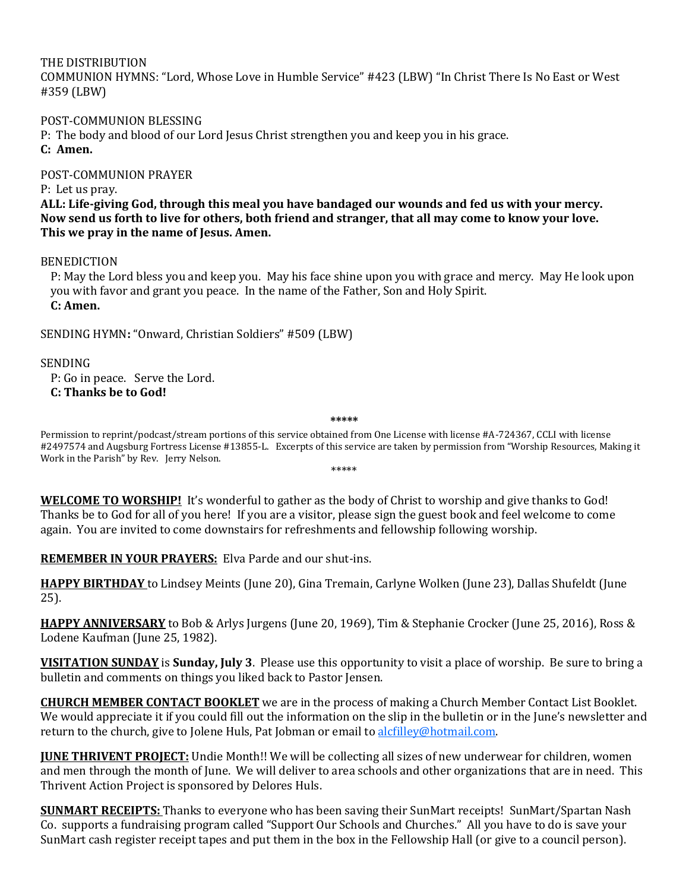#### THE DISTRIBUTION

COMMUNION HYMNS: "Lord, Whose Love in Humble Service" #423 (LBW) "In Christ There Is No East or West #359 (LBW)

#### POST-COMMUNION BLESSING

P: The body and blood of our Lord Jesus Christ strengthen you and keep you in his grace. **C: Amen.**

#### POST-COMMUNION PRAYER

P: Let us pray.

**ALL: Life-giving God, through this meal you have bandaged our wounds and fed us with your mercy. Now send us forth to live for others, both friend and stranger, that all may come to know your love. This we pray in the name of Jesus. Amen.**

#### BENEDICTION

P: May the Lord bless you and keep you. May his face shine upon you with grace and mercy. May He look upon you with favor and grant you peace. In the name of the Father, Son and Holy Spirit. **C: Amen.**

SENDING HYMN**:** "Onward, Christian Soldiers" #509 (LBW)

SENDING

P: Go in peace. Serve the Lord. **C: Thanks be to God!**

**\*\*\*\*\***

Permission to reprint/podcast/stream portions of this service obtained from One License with license #A-724367, CCLI with license #2497574 and Augsburg Fortress License #13855-L. Excerpts of this service are taken by permission from "Worship Resources, Making it Work in the Parish" by Rev. Jerry Nelson. \*\*\*\*\*

**WELCOME TO WORSHIP!** It's wonderful to gather as the body of Christ to worship and give thanks to God! Thanks be to God for all of you here! If you are a visitor, please sign the guest book and feel welcome to come again. You are invited to come downstairs for refreshments and fellowship following worship.

**REMEMBER IN YOUR PRAYERS:** Elva Parde and our shut-ins.

**HAPPY BIRTHDAY** to Lindsey Meints (June 20), Gina Tremain, Carlyne Wolken (June 23), Dallas Shufeldt (June 25).

**HAPPY ANNIVERSARY** to Bob & Arlys Jurgens (June 20, 1969), Tim & Stephanie Crocker (June 25, 2016), Ross & Lodene Kaufman (June 25, 1982).

**VISITATION SUNDAY** is **Sunday, July 3**. Please use this opportunity to visit a place of worship. Be sure to bring a bulletin and comments on things you liked back to Pastor Jensen.

**CHURCH MEMBER CONTACT BOOKLET** we are in the process of making a Church Member Contact List Booklet. We would appreciate it if you could fill out the information on the slip in the bulletin or in the June's newsletter and return to the church, give to Jolene Huls, Pat Jobman or email to alcfilley@hotmail.com.

**JUNE THRIVENT PROJECT:** Undie Month!! We will be collecting all sizes of new underwear for children, women and men through the month of June. We will deliver to area schools and other organizations that are in need. This Thrivent Action Project is sponsored by Delores Huls.

**SUNMART RECEIPTS:** Thanks to everyone who has been saving their SunMart receipts! SunMart/Spartan Nash Co. supports a fundraising program called "Support Our Schools and Churches." All you have to do is save your SunMart cash register receipt tapes and put them in the box in the Fellowship Hall (or give to a council person).